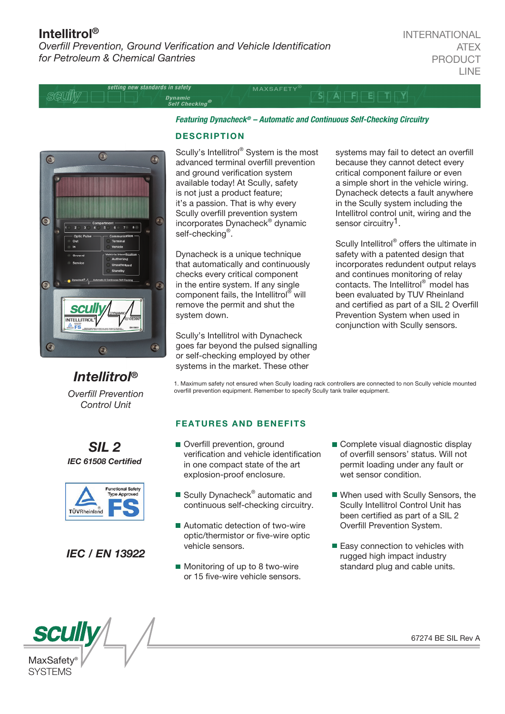## Intellitrol®

**Overfill Prevention, Ground Verification and Vehicle Identification** *for Petroleum & Chemical Gantries*

setting new standards in safety **MAXSAFETY** SQUIIN AFFETTY Dynamic<br>Self Checking®



*Intellitrol®*

*Overll Prevention Control Unit*

*SIL 2 IEC 61508 Certied* 

> **Functional Safety** Tune Annouar

*IEC / EN 13922*

TÜVRheinland

#### **DESCRIPTION**

Scully's Intellitrol® System is the most advanced terminal overfill prevention and ground verification system available today! At Scully, safety is not just a product feature; it's a passion. That is why every Scully overfill prevention system incorporates Dynacheck® dynamic Dynacheck self-checking<sup>®</sup>.

*Featuring Dynacheck® – Automatic and Continuous Self-Checking Circuitry* 

Dynacheck is a unique technique that automatically and continuously checks every critical component in the entire system. If any single component fails, the Intellitrol® will remove the permit and shut the system down.

Scully's Intellitrol with Dynacheck goes far beyond the pulsed signalling or self-checking employed by other systems in the market. These other

systems may fail to detect an overfill because they cannot detect every critical component failure or even a simple short in the vehicle wiring. Dynacheck detects a fault anywhere in the Scully system including the Intellitrol control unit, wiring and the sensor circuitry<sup>1</sup>.

Scully Intellitrol® offers the ultimate in safety with a patented design that incorporates redundent output relays and continues monitoring of relay contacts. The Intellitrol® model has been evaluated by TUV Rheinland and certified as part of a SIL 2 Overfill Prevention System when used in conjunction with Scully sensors.

1. Maximum safety not ensured when Scully loading rack controllers are connected to non Scully vehicle mounted overfill prevention equipment. Remember to specify Scully tank trailer equipment.

#### FEATURES AND BENEFITS

- Overfill prevention, ground verification and vehicle identification in one compact state of the art explosion-proof enclosure.
- Scully Dynacheck<sup>®</sup> automatic and continuous self-checking circuitry.
- Automatic detection of two-wire optic/thermistor or five-wire optic vehicle sensors.
- Monitoring of up to 8 two-wire or 15 five-wire vehicle sensors.
- Complete visual diagnostic display of overfill sensors' status. Will not permit loading under any fault or wet sensor condition.
- When used with Scully Sensors, the Scully Intellitrol Control Unit has been certified as part of a SIL 2 Overfill Prevention System.
- Easy connection to vehicles with rugged high impact industry standard plug and cable units.

**SCUI** MaxSafety **SYSTEMS** 

67274 BE SIL Rev A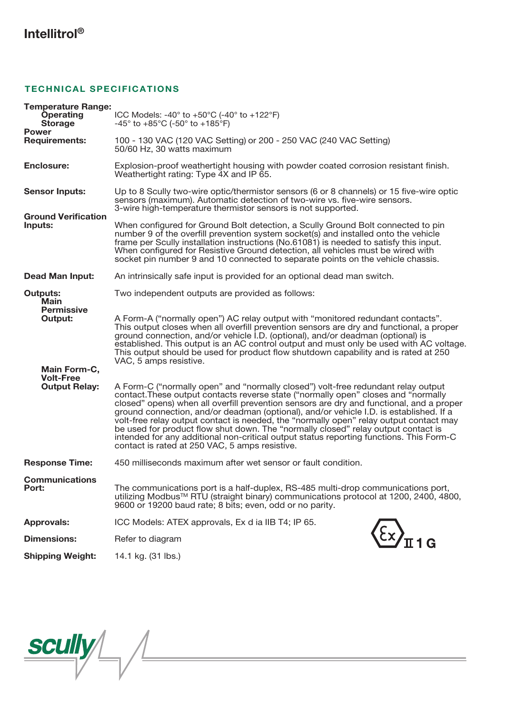# Intellitrol®

### TECHNICAL SPECIFICATIONS

| <b>Temperature Range:</b>                    |                                                                                                                                                                                                                                                                                                                                                                                                                                                                                                                                                                                                                                                                                           |
|----------------------------------------------|-------------------------------------------------------------------------------------------------------------------------------------------------------------------------------------------------------------------------------------------------------------------------------------------------------------------------------------------------------------------------------------------------------------------------------------------------------------------------------------------------------------------------------------------------------------------------------------------------------------------------------------------------------------------------------------------|
| <b>Operating</b><br><b>Storage</b>           | ICC Models: -40 $\degree$ to +50 $\degree$ C (-40 $\degree$ to +122 $\degree$ F)<br>$-45^{\circ}$ to $+85^{\circ}$ C (-50° to $+185^{\circ}$ F)                                                                                                                                                                                                                                                                                                                                                                                                                                                                                                                                           |
| <b>Power</b><br><b>Requirements:</b>         | 100 - 130 VAC (120 VAC Setting) or 200 - 250 VAC (240 VAC Setting)<br>50/60 Hz, 30 watts maximum                                                                                                                                                                                                                                                                                                                                                                                                                                                                                                                                                                                          |
| <b>Enclosure:</b>                            | Explosion-proof weathertight housing with powder coated corrosion resistant finish.<br>Weathertight rating: Type 4X and IP 65.                                                                                                                                                                                                                                                                                                                                                                                                                                                                                                                                                            |
| <b>Sensor Inputs:</b>                        | Up to 8 Scully two-wire optic/thermistor sensors (6 or 8 channels) or 15 five-wire optic<br>sensors (maximum). Automatic detection of two-wire vs. five-wire sensors.<br>3-wire high-temperature thermistor sensors is not supported.                                                                                                                                                                                                                                                                                                                                                                                                                                                     |
| <b>Ground Verification</b><br>Inputs:        | When configured for Ground Bolt detection, a Scully Ground Bolt connected to pin<br>number 9 of the overfill prevention system socket(s) and installed onto the vehicle<br>frame per Scully installation instructions (No.61081) is needed to satisfy this input.<br>When configured for Resistive Ground detection, all vehicles must be wired with<br>socket pin number 9 and 10 connected to separate points on the vehicle chassis.                                                                                                                                                                                                                                                   |
| <b>Dead Man Input:</b>                       | An intrinsically safe input is provided for an optional dead man switch.                                                                                                                                                                                                                                                                                                                                                                                                                                                                                                                                                                                                                  |
| <b>Outputs:</b><br>Main<br><b>Permissive</b> | Two independent outputs are provided as follows:                                                                                                                                                                                                                                                                                                                                                                                                                                                                                                                                                                                                                                          |
| Output:                                      | A Form-A ("normally open") AC relay output with "monitored redundant contacts".<br>This output closes when all overfill prevention sensors are dry and functional, a proper<br>ground connection, and/or vehicle <i>I.D.</i> (optional), and/or deadman (optional) is<br>established. This output is an AC control output and must only be used with AC voltage.<br>This output should be used for product flow shutdown capability and is rated at 250<br>VAC, 5 amps resistive.                                                                                                                                                                                                         |
| Main Form-C,<br><b>Volt-Free</b>             |                                                                                                                                                                                                                                                                                                                                                                                                                                                                                                                                                                                                                                                                                           |
| <b>Output Relay:</b>                         | A Form-C ("normally open" and "normally closed") volt-free redundant relay output<br>contact. These output contacts reverse state ("normally open" closes and "normally<br>closed" opens) when all overfill prevention sensors are dry and functional, and a proper<br>ground connection, and/or deadman (optional), and/or vehicle I.D. is established. If a<br>volt-free relay output contact is needed, the "normally open" relay output contact may<br>be used for product flow shut down. The "normally closed" relay output contact is<br>intended for any additional non-critical output status reporting functions. This Form-C<br>contact is rated at 250 VAC, 5 amps resistive. |
| <b>Response Time:</b>                        | 450 milliseconds maximum after wet sensor or fault condition.                                                                                                                                                                                                                                                                                                                                                                                                                                                                                                                                                                                                                             |
| <b>Communications</b><br>Port:               | The communications port is a half-duplex, RS-485 multi-drop communications port,<br>utilizing Modbus™ RTU (straight binary) communications protocol at 1200, 2400, 4800,<br>9600 or 19200 baud rate; 8 bits; even, odd or no parity.                                                                                                                                                                                                                                                                                                                                                                                                                                                      |
| <b>Approvals:</b>                            | ICC Models: ATEX approvals, Ex d ia IIB T4; IP 65.                                                                                                                                                                                                                                                                                                                                                                                                                                                                                                                                                                                                                                        |
| <b>Dimensions:</b>                           | Refer to diagram                                                                                                                                                                                                                                                                                                                                                                                                                                                                                                                                                                                                                                                                          |
| <b>Shipping Weight:</b>                      | 14.1 kg. (31 lbs.)                                                                                                                                                                                                                                                                                                                                                                                                                                                                                                                                                                                                                                                                        |

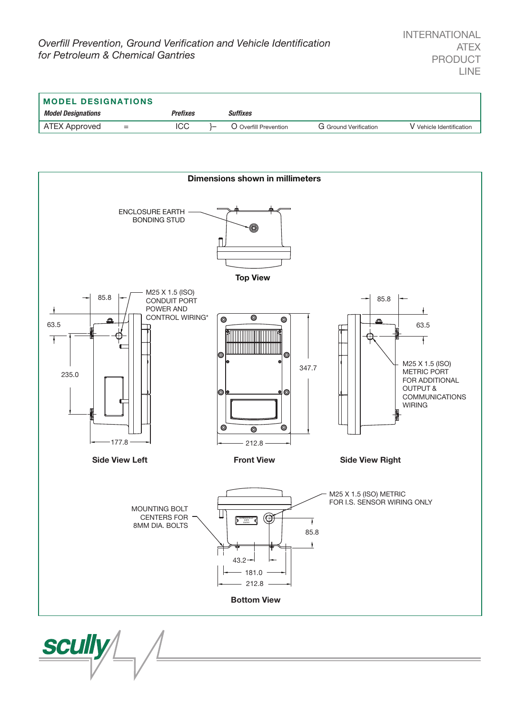